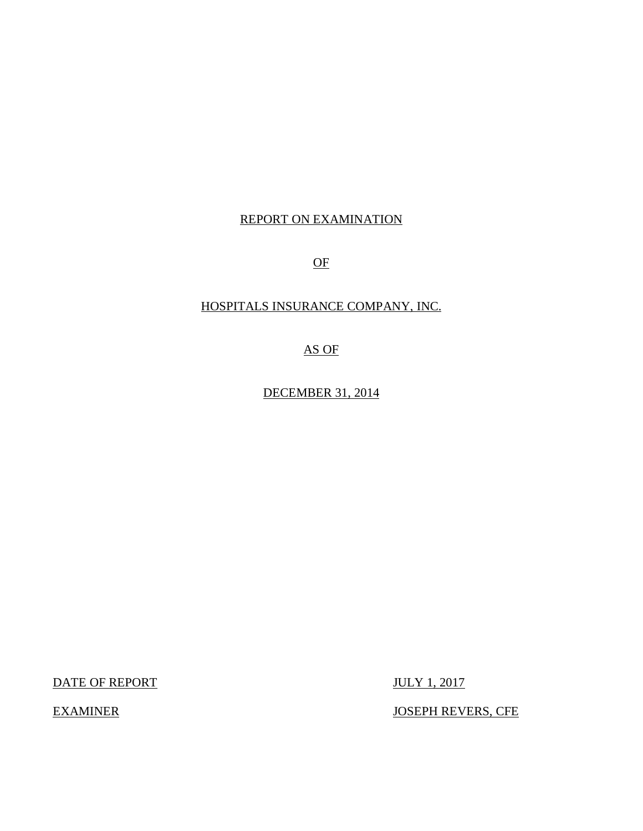### REPORT ON EXAMINATION

OF

## HOSPITALS INSURANCE COMPANY, INC.

AS OF

DECEMBER 31, 2014

DATE OF REPORT JULY 1, 2017

EXAMINER JOSEPH REVERS, CFE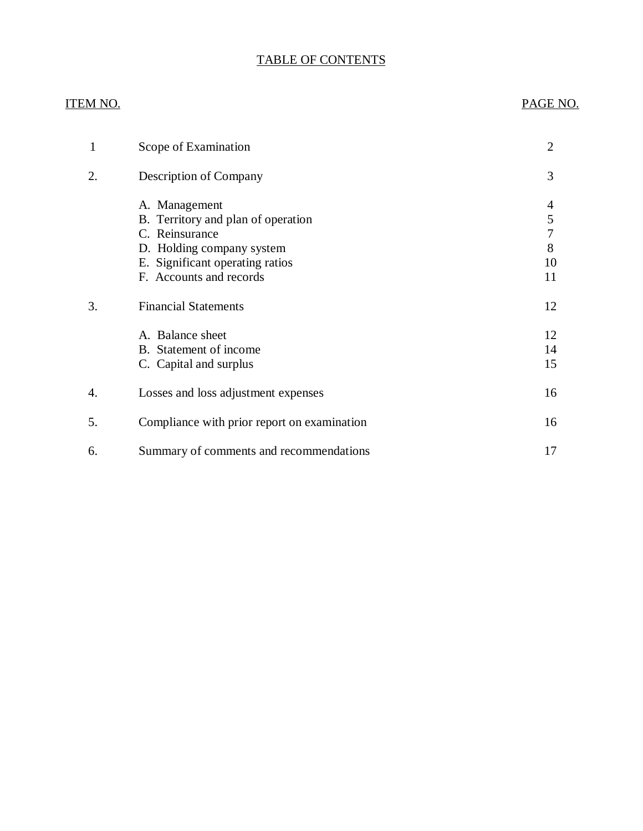## TABLE OF CONTENTS

#### ITEM NO. PAGE NO.

| 1  | Scope of Examination                                                                                                                                             | $\overline{2}$               |
|----|------------------------------------------------------------------------------------------------------------------------------------------------------------------|------------------------------|
| 2. | Description of Company                                                                                                                                           | 3                            |
|    | A. Management<br>B. Territory and plan of operation<br>C. Reinsurance<br>D. Holding company system<br>E. Significant operating ratios<br>F. Accounts and records | 4<br>5<br>7<br>8<br>10<br>11 |
| 3. | <b>Financial Statements</b>                                                                                                                                      | 12                           |
|    | A. Balance sheet<br>B. Statement of income<br>C. Capital and surplus                                                                                             | 12<br>14<br>15               |
| 4. | Losses and loss adjustment expenses                                                                                                                              | 16                           |
| 5. | Compliance with prior report on examination                                                                                                                      | 16                           |
| 6. | Summary of comments and recommendations                                                                                                                          | 17                           |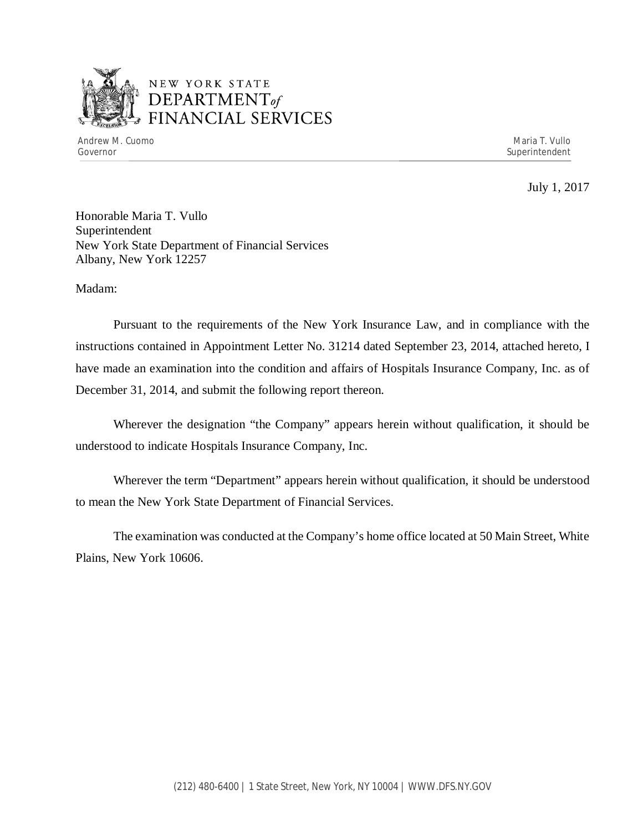

## NEW YORK STATE *DEPARTMENTof*  FINANCIAL SERVICES

July 1, 2017

Honorable Maria T. Vullo Superintendent New York State Department of Financial Services Albany, New York 12257

Madam:

Pursuant to the requirements of the New York Insurance Law, and in compliance with the instructions contained in Appointment Letter No. 31214 dated September 23, 2014, attached hereto, I have made an examination into the condition and affairs of Hospitals Insurance Company, Inc. as of December 31, 2014, and submit the following report thereon.

Wherever the designation "the Company" appears herein without qualification, it should be understood to indicate Hospitals Insurance Company, Inc.

Wherever the term "Department" appears herein without qualification, it should be understood to mean the New York State Department of Financial Services.

The examination was conducted at the Company's home office located at 50 Main Street, White Plains, New York 10606.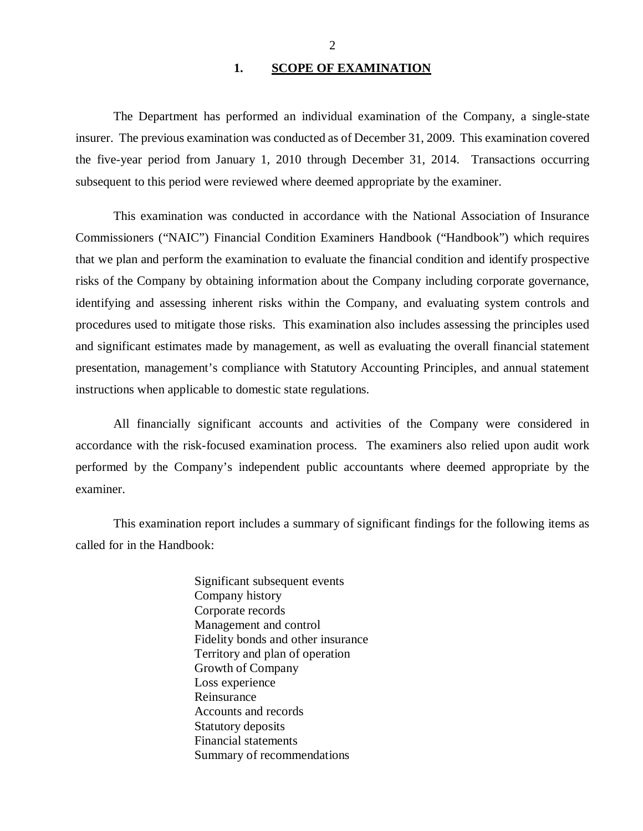#### 1. SCOPE OF EXAMINATION

<span id="page-3-0"></span>The Department has performed an individual examination of the Company*,* a single-state insurer. The previous examination was conducted as of December 31, 2009. This examination covered the five-year period from January 1, 2010 through December 31, 2014. Transactions occurring subsequent to this period were reviewed where deemed appropriate by the examiner.

This examination was conducted in accordance with the National Association of Insurance Commissioners ("NAIC") Financial Condition Examiners Handbook ("Handbook") which requires that we plan and perform the examination to evaluate the financial condition and identify prospective risks of the Company by obtaining information about the Company including corporate governance, identifying and assessing inherent risks within the Company, and evaluating system controls and procedures used to mitigate those risks. This examination also includes assessing the principles used and significant estimates made by management, as well as evaluating the overall financial statement presentation, management's compliance with Statutory Accounting Principles, and annual statement instructions when applicable to domestic state regulations.

All financially significant accounts and activities of the Company were considered in accordance with the risk-focused examination process. The examiners also relied upon audit work performed by the Company's independent public accountants where deemed appropriate by the examiner.

This examination report includes a summary of significant findings for the following items as called for in the Handbook:

> Significant subsequent events Company history Corporate records Management and control Fidelity bonds and other insurance Territory and plan of operation Growth of Company Loss experience Reinsurance Accounts and records Statutory deposits Financial statements Summary of recommendations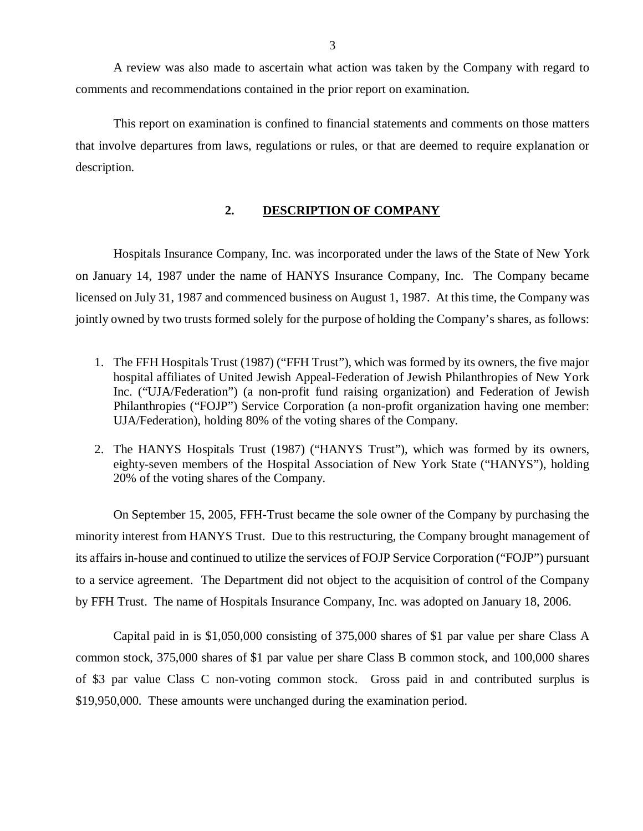<span id="page-4-0"></span>A review was also made to ascertain what action was taken by the Company with regard to comments and recommendations contained in the prior report on examination.

This report on examination is confined to financial statements and comments on those matters that involve departures from laws, regulations or rules, or that are deemed to require explanation or description.

#### **2. DESCRIPTION OF COMPANY**

Hospitals Insurance Company, Inc. was incorporated under the laws of the State of New York on January 14, 1987 under the name of HANYS Insurance Company, Inc. The Company became licensed on July 31, 1987 and commenced business on August 1, 1987. At this time, the Company was jointly owned by two trusts formed solely for the purpose of holding the Company's shares, as follows:

- 1. The FFH Hospitals Trust (1987) ("FFH Trust"), which was formed by its owners, the five major hospital affiliates of United Jewish Appeal-Federation of Jewish Philanthropies of New York Inc. ("UJA/Federation") (a non-profit fund raising organization) and Federation of Jewish Philanthropies ("FOJP") Service Corporation (a non-profit organization having one member: UJA/Federation), holding 80% of the voting shares of the Company.
- 2. The HANYS Hospitals Trust (1987) ("HANYS Trust"), which was formed by its owners, eighty-seven members of the Hospital Association of New York State ("HANYS"), holding 20% of the voting shares of the Company.

On September 15, 2005, FFH-Trust became the sole owner of the Company by purchasing the minority interest from HANYS Trust. Due to this restructuring, the Company brought management of its affairs in-house and continued to utilize the services of FOJP Service Corporation ("FOJP") pursuant to a service agreement. The Department did not object to the acquisition of control of the Company by FFH Trust. The name of Hospitals Insurance Company, Inc. was adopted on January 18, 2006.

Capital paid in is \$1,050,000 consisting of 375,000 shares of \$1 par value per share Class A common stock, 375,000 shares of \$1 par value per share Class B common stock, and 100,000 shares of \$3 par value Class C non-voting common stock. Gross paid in and contributed surplus is \$19,950,000. These amounts were unchanged during the examination period.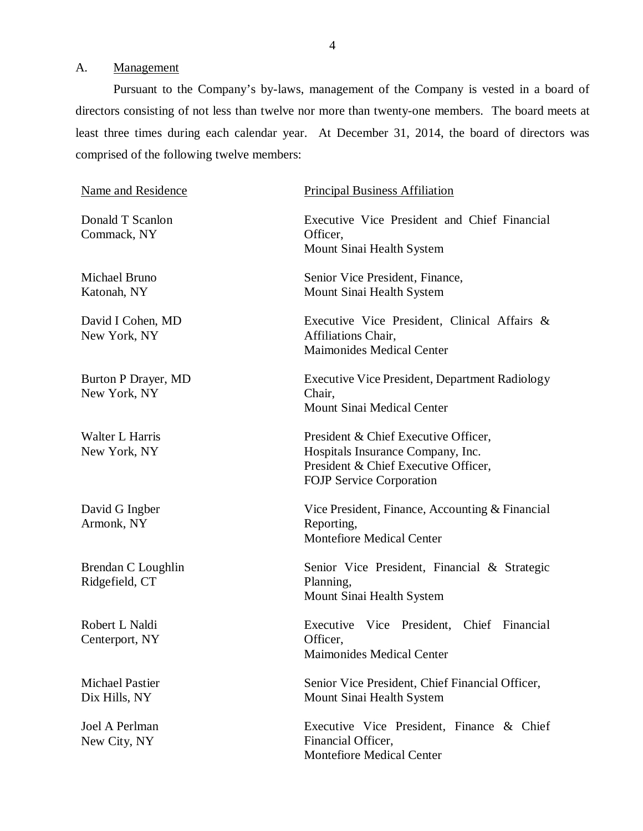### <span id="page-5-0"></span>A. Management

Pursuant to the Company's by-laws, management of the Company is vested in a board of directors consisting of not less than twelve nor more than twenty-one members. The board meets at least three times during each calendar year. At December 31, 2014, the board of directors was comprised of the following twelve members:

| Name and Residence                         | <b>Principal Business Affiliation</b>                                                                                                                |
|--------------------------------------------|------------------------------------------------------------------------------------------------------------------------------------------------------|
| Donald T Scanlon<br>Commack, NY            | Executive Vice President and Chief Financial<br>Officer,<br>Mount Sinai Health System                                                                |
| Michael Bruno<br>Katonah, NY               | Senior Vice President, Finance,<br>Mount Sinai Health System                                                                                         |
| David I Cohen, MD<br>New York, NY          | Executive Vice President, Clinical Affairs &<br>Affiliations Chair,<br><b>Maimonides Medical Center</b>                                              |
| <b>Burton P Drayer, MD</b><br>New York, NY | <b>Executive Vice President, Department Radiology</b><br>Chair,<br>Mount Sinai Medical Center                                                        |
| Walter L Harris<br>New York, NY            | President & Chief Executive Officer,<br>Hospitals Insurance Company, Inc.<br>President & Chief Executive Officer,<br><b>FOJP</b> Service Corporation |
| David G Ingber<br>Armonk, NY               | Vice President, Finance, Accounting & Financial<br>Reporting,<br><b>Montefiore Medical Center</b>                                                    |
| Brendan C Loughlin<br>Ridgefield, CT       | Senior Vice President, Financial & Strategic<br>Planning,<br>Mount Sinai Health System                                                               |
| Robert L Naldi<br>Centerport, NY           | Executive Vice President, Chief Financial<br>Officer,<br><b>Maimonides Medical Center</b>                                                            |
| <b>Michael Pastier</b><br>Dix Hills, NY    | Senior Vice President, Chief Financial Officer,<br>Mount Sinai Health System                                                                         |
| Joel A Perlman<br>New City, NY             | Executive Vice President, Finance & Chief<br>Financial Officer,<br><b>Montefiore Medical Center</b>                                                  |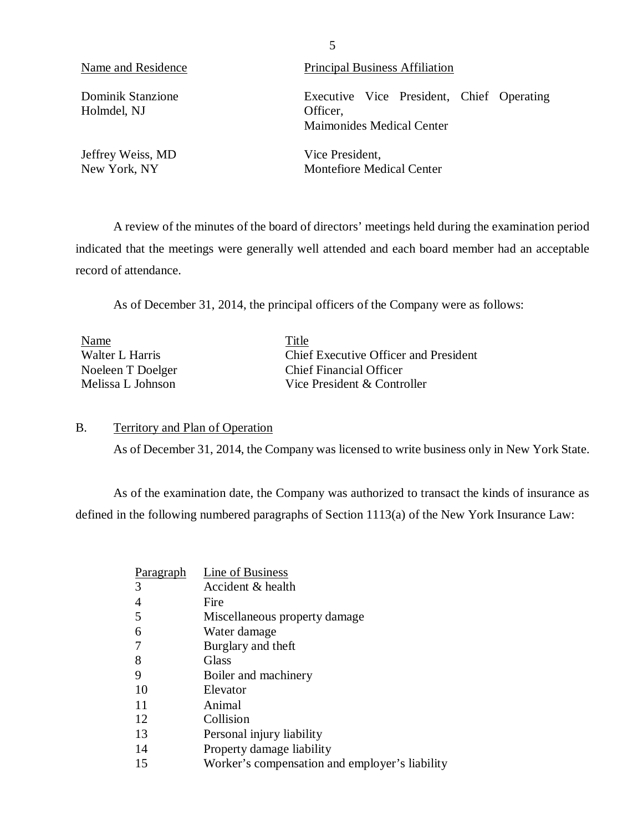Holmdel, NJ Officer,

Jeffrey Weiss, MD<br>
New York, NY<br>
Nontefiore Med

Name and Residence Principal Business Affiliation

Dominik Stanzione Executive Vice President, Chief Operating Maimonides Medical Center

Montefiore Medical Center

A review of the minutes of the board of directors' meetings held during the examination period indicated that the meetings were generally well attended and each board member had an acceptable record of attendance.

As of December 31, 2014, the principal officers of the Company were as follows:

| Name              | Title                                 |
|-------------------|---------------------------------------|
| Walter L Harris   | Chief Executive Officer and President |
| Noeleen T Doelger | <b>Chief Financial Officer</b>        |
| Melissa L Johnson | Vice President & Controller           |

#### B. Territory and Plan of Operation

As of December 31, 2014, the Company was licensed to write business only in New York State.

As of the examination date, the Company was authorized to transact the kinds of insurance as defined in the following numbered paragraphs of Section 1113(a) of the New York Insurance Law:

| Paragraph      | Line of Business                               |
|----------------|------------------------------------------------|
| 3              | Accident & health                              |
| $\overline{4}$ | Fire                                           |
| 5              | Miscellaneous property damage                  |
| 6              | Water damage                                   |
| 7              | Burglary and theft                             |
| 8              | Glass                                          |
| 9              | Boiler and machinery                           |
| 10             | Elevator                                       |
| 11             | Animal                                         |
| 12             | Collision                                      |
| 13             | Personal injury liability                      |
| 14             | Property damage liability                      |
| 15             | Worker's compensation and employer's liability |

5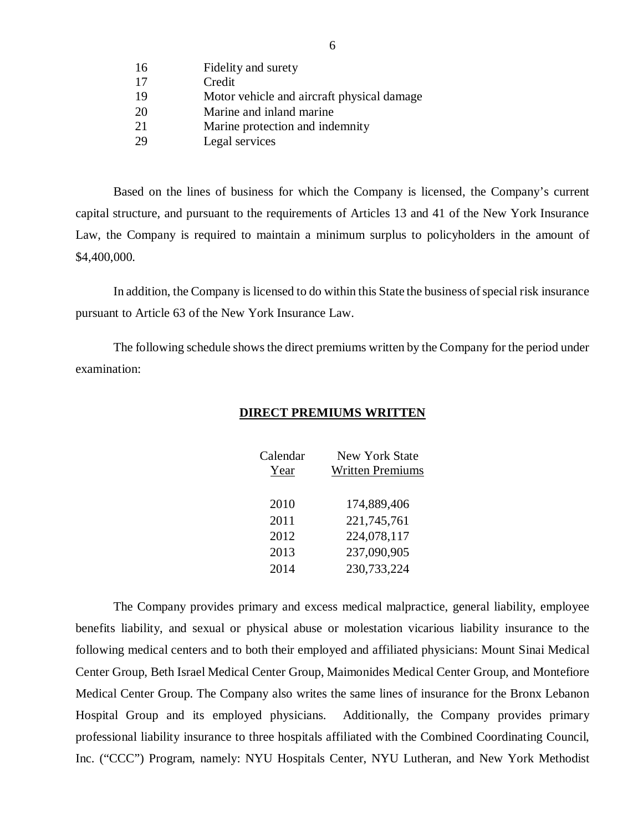| 16 | Fidelity and surety                        |
|----|--------------------------------------------|
| 17 | Credit                                     |
| 19 | Motor vehicle and aircraft physical damage |
| 20 | Marine and inland marine                   |
| 21 | Marine protection and indemnity            |
| 29 | Legal services                             |

Based on the lines of business for which the Company is licensed, the Company's current capital structure, and pursuant to the requirements of Articles 13 and 41 of the New York Insurance Law, the Company is required to maintain a minimum surplus to policyholders in the amount of \$4,400,000.

In addition, the Company is licensed to do within this State the business of special risk insurance pursuant to Article 63 of the New York Insurance Law.

The following schedule shows the direct premiums written by the Company for the period under examination:

| Calendar | <b>New York State</b>   |
|----------|-------------------------|
| Year     | <b>Written Premiums</b> |
| 2010     | 174,889,406             |
| 2011     | 221,745,761             |
| 2012     | 224,078,117             |
| 2013     | 237,090,905             |
| 2014     | 230,733,224             |

#### **DIRECT PREMIUMS WRITTEN**

The Company provides primary and excess medical malpractice, general liability, employee benefits liability, and sexual or physical abuse or molestation vicarious liability insurance to the following medical centers and to both their employed and affiliated physicians: Mount Sinai Medical Center Group, Beth Israel Medical Center Group, Maimonides Medical Center Group, and Montefiore Medical Center Group. The Company also writes the same lines of insurance for the Bronx Lebanon Hospital Group and its employed physicians. Additionally, the Company provides primary professional liability insurance to three hospitals affiliated with the Combined Coordinating Council, Inc. ("CCC") Program, namely: NYU Hospitals Center, NYU Lutheran, and New York Methodist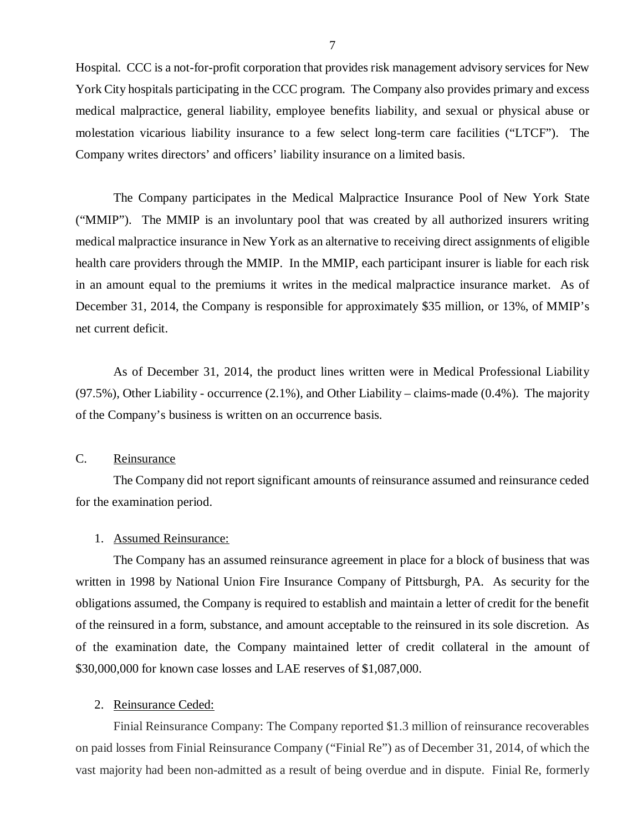<span id="page-8-0"></span>Hospital. CCC is a not-for-profit corporation that provides risk management advisory services for New York City hospitals participating in the CCC program. The Company also provides primary and excess medical malpractice, general liability, employee benefits liability, and sexual or physical abuse or molestation vicarious liability insurance to a few select long-term care facilities ("LTCF"). The Company writes directors' and officers' liability insurance on a limited basis.

The Company participates in the Medical Malpractice Insurance Pool of New York State ("MMIP"). The MMIP is an involuntary pool that was created by all authorized insurers writing medical malpractice insurance in New York as an alternative to receiving direct assignments of eligible health care providers through the MMIP. In the MMIP, each participant insurer is liable for each risk in an amount equal to the premiums it writes in the medical malpractice insurance market. As of December 31, 2014, the Company is responsible for approximately \$35 million, or 13%, of MMIP's net current deficit.

As of December 31, 2014, the product lines written were in Medical Professional Liability  $(97.5\%)$ , Other Liability - occurrence  $(2.1\%)$ , and Other Liability – claims-made  $(0.4\%)$ . The majority of the Company's business is written on an occurrence basis.

#### C. Reinsurance

The Company did not report significant amounts of reinsurance assumed and reinsurance ceded for the examination period.

#### 1. Assumed Reinsurance:

The Company has an assumed reinsurance agreement in place for a block of business that was written in 1998 by National Union Fire Insurance Company of Pittsburgh, PA. As security for the obligations assumed, the Company is required to establish and maintain a letter of credit for the benefit of the reinsured in a form, substance, and amount acceptable to the reinsured in its sole discretion. As of the examination date, the Company maintained letter of credit collateral in the amount of \$30,000,000 for known case losses and LAE reserves of \$1,087,000.

#### 2. Reinsurance Ceded:

Finial Reinsurance Company: The Company reported \$1.3 million of reinsurance recoverables on paid losses from Finial Reinsurance Company ("Finial Re") as of December 31, 2014, of which the vast majority had been non-admitted as a result of being overdue and in dispute. Finial Re, formerly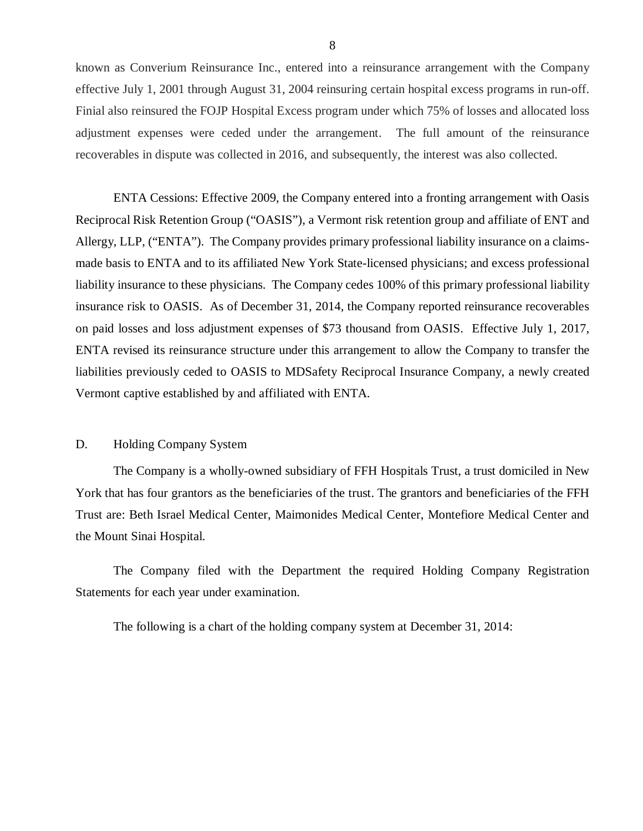<span id="page-9-0"></span>known as Converium Reinsurance Inc., entered into a reinsurance arrangement with the Company effective July 1, 2001 through August 31, 2004 reinsuring certain hospital excess programs in run-off. Finial also reinsured the FOJP Hospital Excess program under which 75% of losses and allocated loss adjustment expenses were ceded under the arrangement. The full amount of the reinsurance recoverables in dispute was collected in 2016, and subsequently, the interest was also collected.

ENTA Cessions: Effective 2009, the Company entered into a fronting arrangement with Oasis Reciprocal Risk Retention Group ("OASIS"), a Vermont risk retention group and affiliate of ENT and Allergy, LLP, ("ENTA"). The Company provides primary professional liability insurance on a claimsmade basis to ENTA and to its affiliated New York State-licensed physicians; and excess professional liability insurance to these physicians. The Company cedes 100% of this primary professional liability insurance risk to OASIS. As of December 31, 2014, the Company reported reinsurance recoverables on paid losses and loss adjustment expenses of \$73 thousand from OASIS. Effective July 1, 2017, ENTA revised its reinsurance structure under this arrangement to allow the Company to transfer the liabilities previously ceded to OASIS to MDSafety Reciprocal Insurance Company, a newly created Vermont captive established by and affiliated with ENTA.

#### D. Holding Company System

The Company is a wholly-owned subsidiary of FFH Hospitals Trust, a trust domiciled in New York that has four grantors as the beneficiaries of the trust. The grantors and beneficiaries of the FFH Trust are: Beth Israel Medical Center, Maimonides Medical Center, Montefiore Medical Center and the Mount Sinai Hospital.

The Company filed with the Department the required Holding Company Registration Statements for each year under examination.

The following is a chart of the holding company system at December 31, 2014: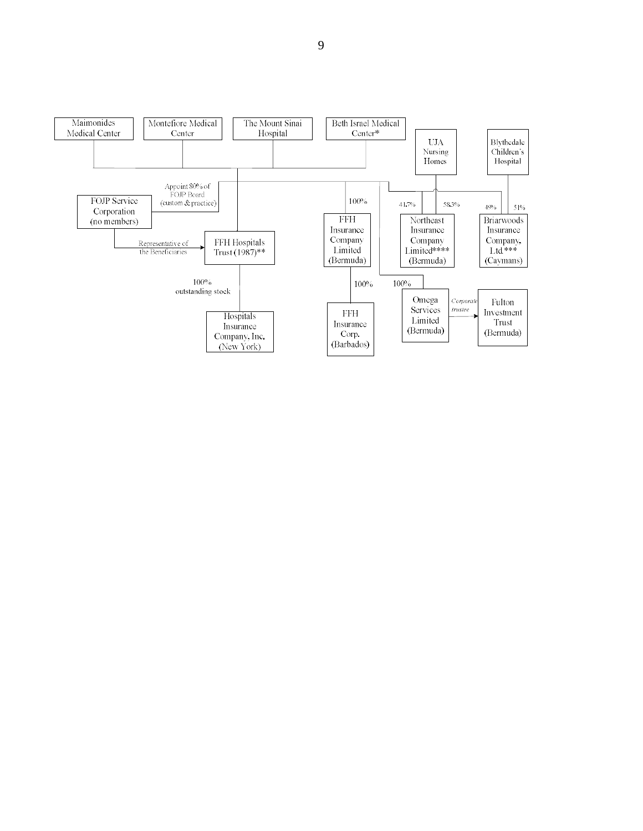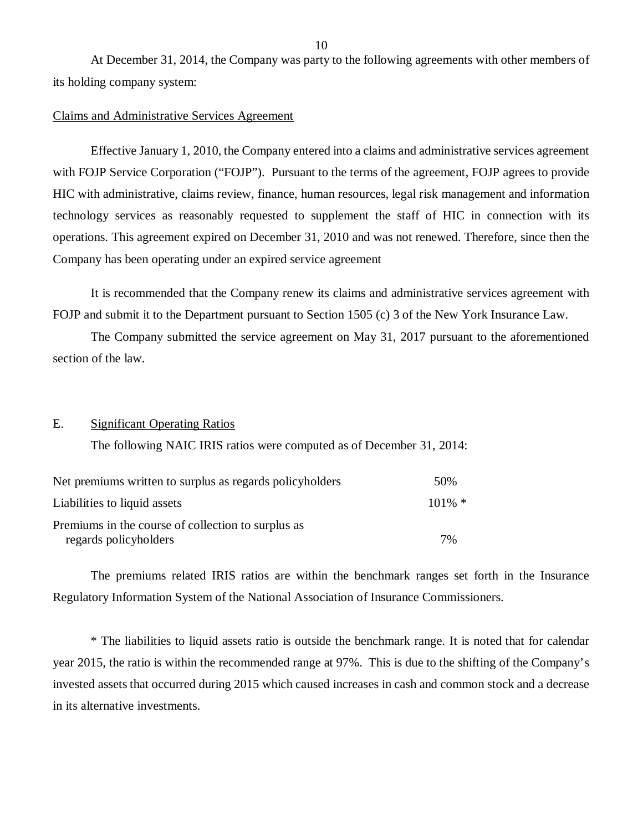<span id="page-11-0"></span>At December 31, 2014, the Company was party to the following agreements with other members of its holding company system:

#### Claims and Administrative Services Agreement

Effective January 1, 2010, the Company entered into a claims and administrative services agreement with FOJP Service Corporation ("FOJP"). Pursuant to the terms of the agreement, FOJP agrees to provide HIC with administrative, claims review, finance, human resources, legal risk management and information technology services as reasonably requested to supplement the staff of HIC in connection with its operations. This agreement expired on December 31, 2010 and was not renewed. Therefore, since then the Company has been operating under an expired service agreement

It is recommended that the Company renew its claims and administrative services agreement with FOJP and submit it to the Department pursuant to Section 1505 (c) 3 of the New York Insurance Law.

The Company submitted the service agreement on May 31, 2017 pursuant to the aforementioned section of the law.

#### E. Significant Operating Ratios

The following NAIC IRIS ratios were computed as of December 31, 2014:

| Net premiums written to surplus as regards policyholders | 50%       |
|----------------------------------------------------------|-----------|
| Liabilities to liquid assets                             | $101\%$ * |
| Premiums in the course of collection to surplus as       |           |
| regards policyholders                                    | 7%        |

The premiums related IRIS ratios are within the benchmark ranges set forth in the Insurance Regulatory Information System of the National Association of Insurance Commissioners.

\* The liabilities to liquid assets ratio is outside the benchmark range. It is noted that for calendar year 2015, the ratio is within the recommended range at 97%. This is due to the shifting of the Company's invested assets that occurred during 2015 which caused increases in cash and common stock and a decrease in its alternative investments.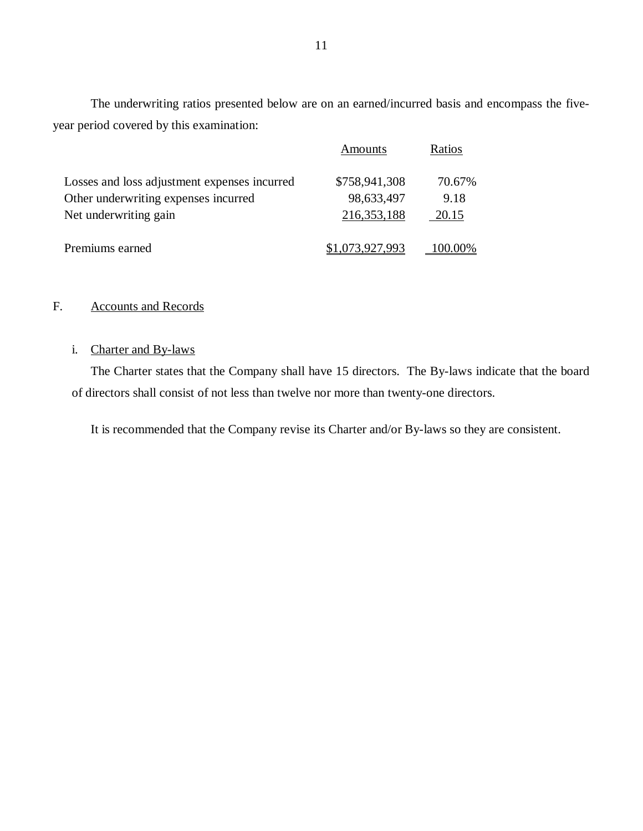The underwriting ratios presented below are on an earned/incurred basis and encompass the fiveyear period covered by this examination:

|                                              | Amounts         | Ratios |
|----------------------------------------------|-----------------|--------|
| Losses and loss adjustment expenses incurred | \$758,941,308   | 70.67% |
| Other underwriting expenses incurred         | 98,633,497      | 9.18   |
| Net underwriting gain                        | 216, 353, 188   | 20.15  |
| Premiums earned                              | \$1,073,927,993 |        |

### F. Accounts and Records

#### i. Charter and By-laws

The Charter states that the Company shall have 15 directors. The By-laws indicate that the board of directors shall consist of not less than twelve nor more than twenty-one directors.

It is recommended that the Company revise its Charter and/or By-laws so they are consistent.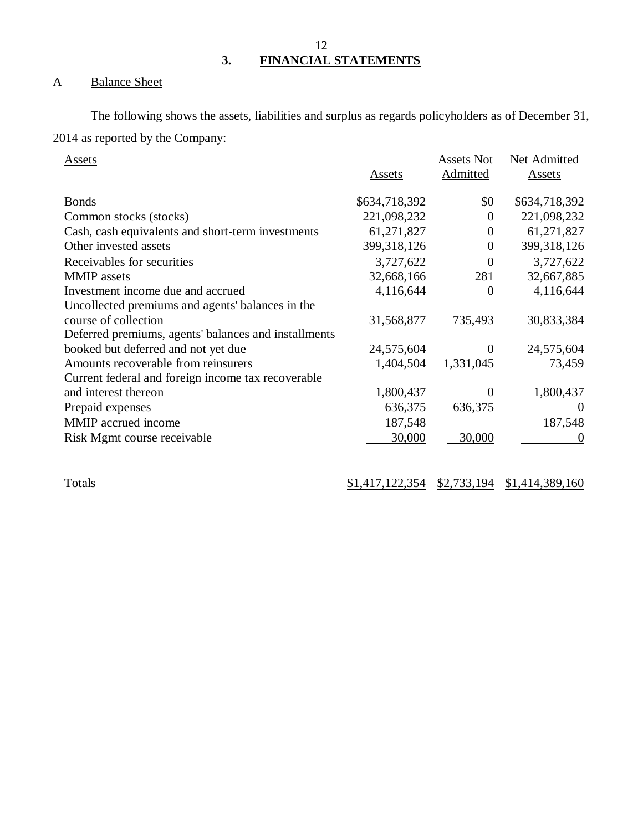**3. FINANCIAL STATEMENTS** 

## A Balance Sheet

The following shows the assets, liabilities and surplus as regards policyholders as of December 31, 2014 as reported by the Company:

| Assets                                               | Assets        | <b>Assets Not</b><br>Admitted | Net Admitted<br>Assets |
|------------------------------------------------------|---------------|-------------------------------|------------------------|
| <b>Bonds</b>                                         | \$634,718,392 | \$0                           | \$634,718,392          |
| Common stocks (stocks)                               | 221,098,232   | 0                             | 221,098,232            |
| Cash, cash equivalents and short-term investments    | 61,271,827    | $\overline{0}$                | 61,271,827             |
| Other invested assets                                | 399, 318, 126 | $\overline{0}$                | 399,318,126            |
| Receivables for securities                           | 3,727,622     | 0                             | 3,727,622              |
| <b>MMIP</b> assets                                   | 32,668,166    | 281                           | 32,667,885             |
| Investment income due and accrued                    | 4,116,644     | 0                             | 4,116,644              |
| Uncollected premiums and agents' balances in the     |               |                               |                        |
| course of collection                                 | 31,568,877    | 735,493                       | 30,833,384             |
| Deferred premiums, agents' balances and installments |               |                               |                        |
| booked but deferred and not yet due                  | 24,575,604    | $\mathbf{\Omega}$             | 24,575,604             |
| Amounts recoverable from reinsurers                  | 1,404,504     | 1,331,045                     | 73,459                 |
| Current federal and foreign income tax recoverable   |               |                               |                        |
| and interest thereon                                 | 1,800,437     | $\theta$                      | 1,800,437              |
| Prepaid expenses                                     | 636,375       | 636,375                       | $\theta$               |
| MMIP accrued income                                  | 187,548       |                               | 187,548                |
| Risk Mgmt course receivable                          | 30,000        | 30,000                        | $\theta$               |

Totals  $\frac{$1,417,122,354}{2} \frac{$2,733,194}{2} \frac{$1,414,389,160}{2}$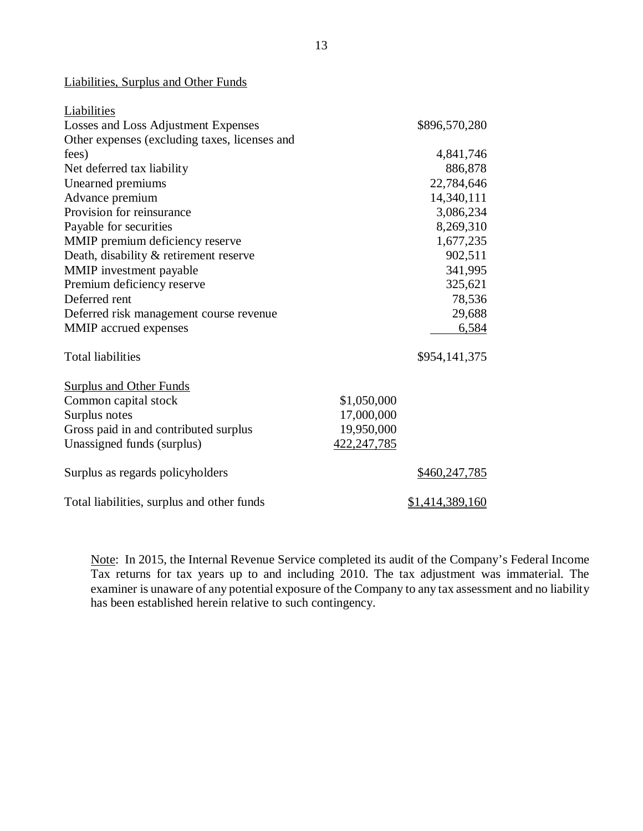#### Liabilities, Surplus and Other Funds

| Liabilities                                   |               |                 |
|-----------------------------------------------|---------------|-----------------|
| Losses and Loss Adjustment Expenses           |               | \$896,570,280   |
| Other expenses (excluding taxes, licenses and |               |                 |
| fees)                                         |               | 4,841,746       |
| Net deferred tax liability                    |               | 886,878         |
| Unearned premiums                             |               | 22,784,646      |
| Advance premium                               |               | 14,340,111      |
| Provision for reinsurance                     |               | 3,086,234       |
| Payable for securities                        |               | 8,269,310       |
| MMIP premium deficiency reserve               |               | 1,677,235       |
| Death, disability & retirement reserve        |               | 902,511         |
| MMIP investment payable                       |               | 341,995         |
| Premium deficiency reserve                    |               | 325,621         |
| Deferred rent                                 |               | 78,536          |
| Deferred risk management course revenue       |               | 29,688          |
| MMIP accrued expenses                         |               | 6,584           |
| <b>Total liabilities</b>                      |               | \$954,141,375   |
| <b>Surplus and Other Funds</b>                |               |                 |
| Common capital stock                          | \$1,050,000   |                 |
| Surplus notes                                 | 17,000,000    |                 |
| Gross paid in and contributed surplus         | 19,950,000    |                 |
| Unassigned funds (surplus)                    | 422, 247, 785 |                 |
| Surplus as regards policyholders              |               | \$460,247,785   |
| Total liabilities, surplus and other funds    |               | \$1,414,389,160 |

Note: In 2015, the Internal Revenue Service completed its audit of the Company's Federal Income Tax returns for tax years up to and including 2010. The tax adjustment was immaterial. The examiner is unaware of any potential exposure of the Company to any tax assessment and no liability has been established herein relative to such contingency.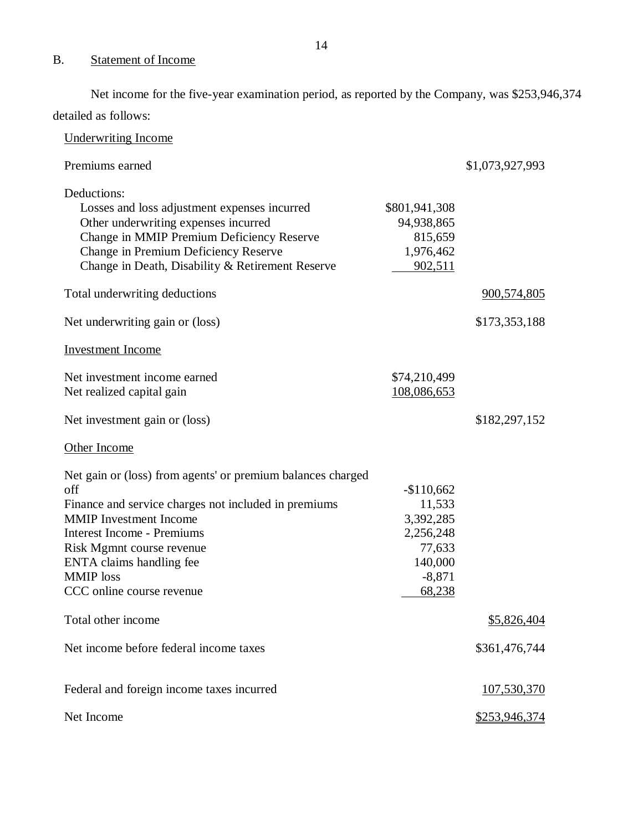## B. Statement of Income

Net income for the five-year examination period, as reported by the Company, was \$253,946,374 detailed as follows:

| <b>Underwriting Income</b>                                                                                                                                                                                                                                                                                 |                                                                                            |                    |
|------------------------------------------------------------------------------------------------------------------------------------------------------------------------------------------------------------------------------------------------------------------------------------------------------------|--------------------------------------------------------------------------------------------|--------------------|
| Premiums earned                                                                                                                                                                                                                                                                                            |                                                                                            | \$1,073,927,993    |
| Deductions:<br>Losses and loss adjustment expenses incurred<br>Other underwriting expenses incurred<br>Change in MMIP Premium Deficiency Reserve<br>Change in Premium Deficiency Reserve<br>Change in Death, Disability & Retirement Reserve                                                               | \$801,941,308<br>94,938,865<br>815,659<br>1,976,462<br>902,511                             |                    |
| Total underwriting deductions                                                                                                                                                                                                                                                                              |                                                                                            | 900,574,805        |
| Net underwriting gain or (loss)                                                                                                                                                                                                                                                                            |                                                                                            | \$173,353,188      |
| <b>Investment Income</b>                                                                                                                                                                                                                                                                                   |                                                                                            |                    |
| Net investment income earned<br>Net realized capital gain                                                                                                                                                                                                                                                  | \$74,210,499<br>108,086,653                                                                |                    |
| Net investment gain or (loss)                                                                                                                                                                                                                                                                              |                                                                                            | \$182,297,152      |
| Other Income                                                                                                                                                                                                                                                                                               |                                                                                            |                    |
| Net gain or (loss) from agents' or premium balances charged<br>off<br>Finance and service charges not included in premiums<br><b>MMIP</b> Investment Income<br><b>Interest Income - Premiums</b><br>Risk Mgmnt course revenue<br>ENTA claims handling fee<br><b>MMIP</b> loss<br>CCC online course revenue | $-$110,662$<br>11,533<br>3,392,285<br>2,256,248<br>77,633<br>140,000<br>$-8,871$<br>68,238 |                    |
| Total other income                                                                                                                                                                                                                                                                                         |                                                                                            | <u>\$5,826,404</u> |
| Net income before federal income taxes                                                                                                                                                                                                                                                                     |                                                                                            | \$361,476,744      |
| Federal and foreign income taxes incurred                                                                                                                                                                                                                                                                  |                                                                                            | 107,530,370        |
| Net Income                                                                                                                                                                                                                                                                                                 |                                                                                            | \$253,946,374      |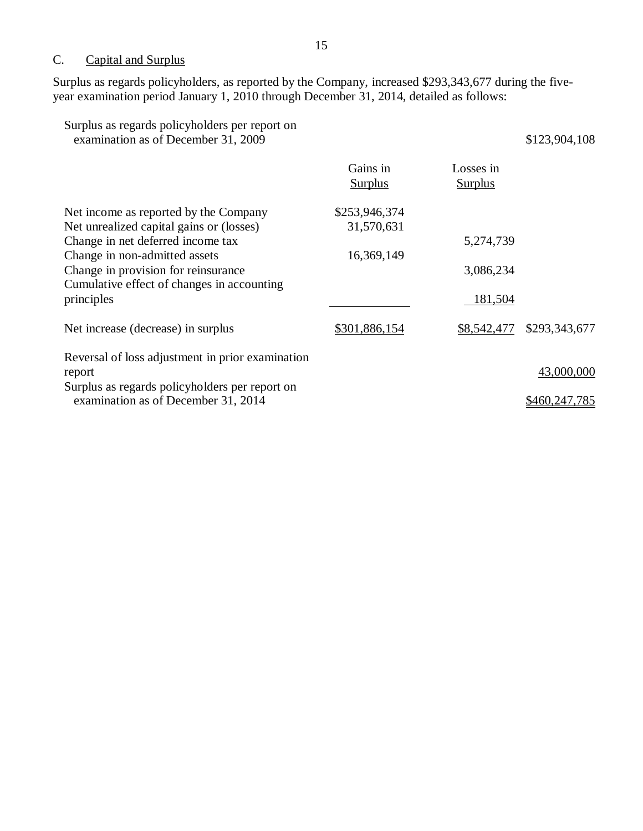## C. Capital and Surplus

Surplus as regards policyholders, as reported by the Company, increased \$293,343,677 during the fiveyear examination period January 1, 2010 through December 31, 2014, detailed as follows:

| Surplus as regards policyholders per report on<br>examination as of December 31, 2009                                                                                                                                                                      |                                           |                                   | \$123,904,108               |
|------------------------------------------------------------------------------------------------------------------------------------------------------------------------------------------------------------------------------------------------------------|-------------------------------------------|-----------------------------------|-----------------------------|
|                                                                                                                                                                                                                                                            | Gains in<br><b>Surplus</b>                | Losses in<br><b>Surplus</b>       |                             |
| Net income as reported by the Company<br>Net unrealized capital gains or (losses)<br>Change in net deferred income tax<br>Change in non-admitted assets<br>Change in provision for reinsurance<br>Cumulative effect of changes in accounting<br>principles | \$253,946,374<br>31,570,631<br>16,369,149 | 5,274,739<br>3,086,234<br>181,504 |                             |
| Net increase (decrease) in surplus                                                                                                                                                                                                                         | \$301,886,154                             | \$8,542,477                       | \$293,343,677               |
| Reversal of loss adjustment in prior examination<br>report<br>Surplus as regards policyholders per report on<br>examination as of December 31, 2014                                                                                                        |                                           |                                   | 43,000,000<br>\$460,247,785 |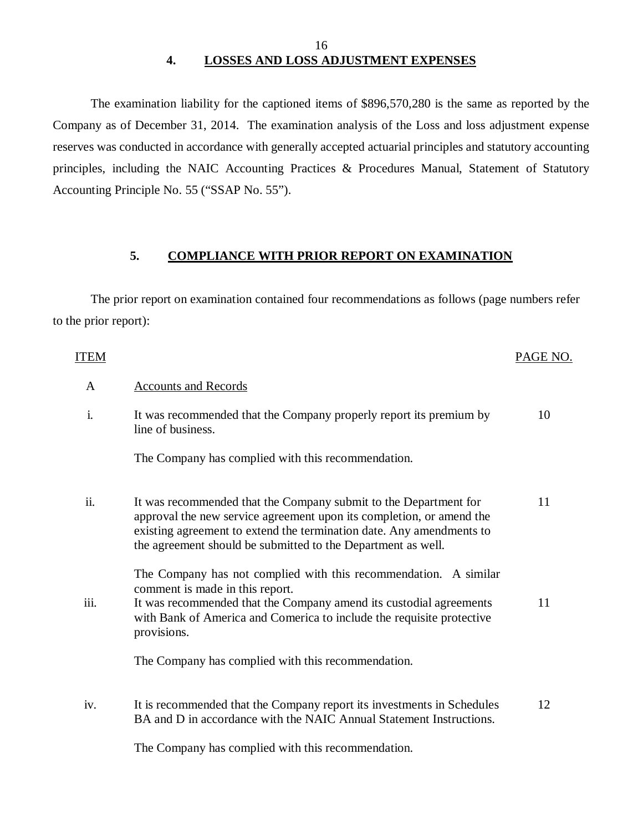#### 16 **4. LOSSES AND LOSS ADJUSTMENT EXPENSES**

The examination liability for the captioned items of \$896,570,280 is the same as reported by the Company as of December 31, 2014. The examination analysis of the Loss and loss adjustment expense reserves was conducted in accordance with generally accepted actuarial principles and statutory accounting principles, including the NAIC Accounting Practices & Procedures Manual, Statement of Statutory Accounting Principle No. 55 ("SSAP No. 55").

#### **5. COMPLIANCE WITH PRIOR REPORT ON EXAMINATION**

The prior report on examination contained four recommendations as follows (page numbers refer to the prior report):

| <b>ITEM</b>    |                                                                                                                                                                                                                                                                                  | PAGE NO. |
|----------------|----------------------------------------------------------------------------------------------------------------------------------------------------------------------------------------------------------------------------------------------------------------------------------|----------|
| $\mathbf{A}$   | <b>Accounts and Records</b>                                                                                                                                                                                                                                                      |          |
| $\mathbf{i}$ . | It was recommended that the Company properly report its premium by<br>line of business.                                                                                                                                                                                          | 10       |
|                | The Company has complied with this recommendation.                                                                                                                                                                                                                               |          |
| ii.            | It was recommended that the Company submit to the Department for<br>approval the new service agreement upon its completion, or amend the<br>existing agreement to extend the termination date. Any amendments to<br>the agreement should be submitted to the Department as well. | 11       |
| iii.           | The Company has not complied with this recommendation. A similar<br>comment is made in this report.<br>It was recommended that the Company amend its custodial agreements<br>with Bank of America and Comerica to include the requisite protective<br>provisions.                | 11       |
|                | The Company has complied with this recommendation.                                                                                                                                                                                                                               |          |
| iv.            | It is recommended that the Company report its investments in Schedules<br>BA and D in accordance with the NAIC Annual Statement Instructions.                                                                                                                                    | 12       |
|                | The Company has complied with this recommendation                                                                                                                                                                                                                                |          |

The Company has complied with this recommendation.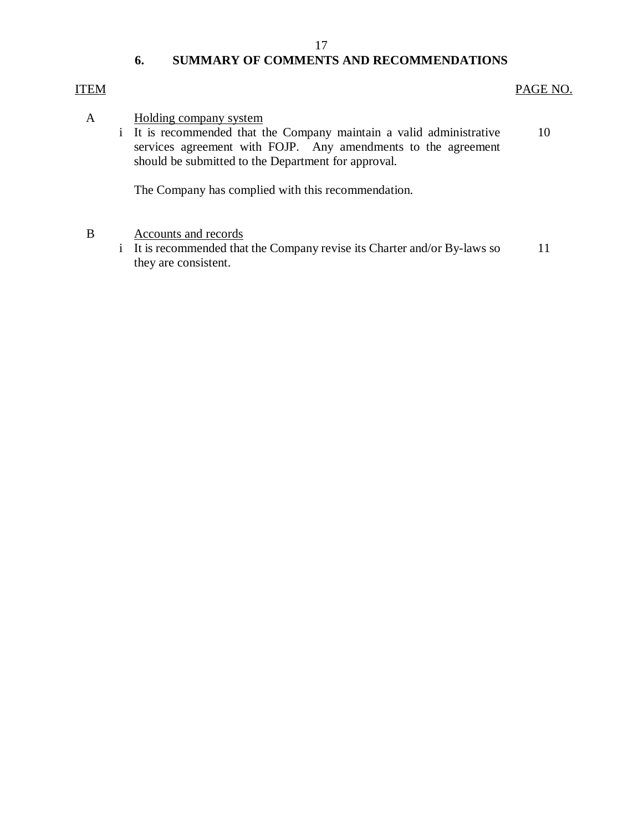#### 17

## **6. SUMMARY OF COMMENTS AND RECOMMENDATIONS**

## ITEM PAGE NO.

- A Holding company system
	- i It is recommended that the Company maintain a valid administrative services agreement with FOJP. Any amendments to the agreement should be submitted to the Department for approval. 10

The Company has complied with this recommendation.

- B Accounts and records
	- i It is recommended that the Company revise its Charter and/or By-laws so they are consistent. 11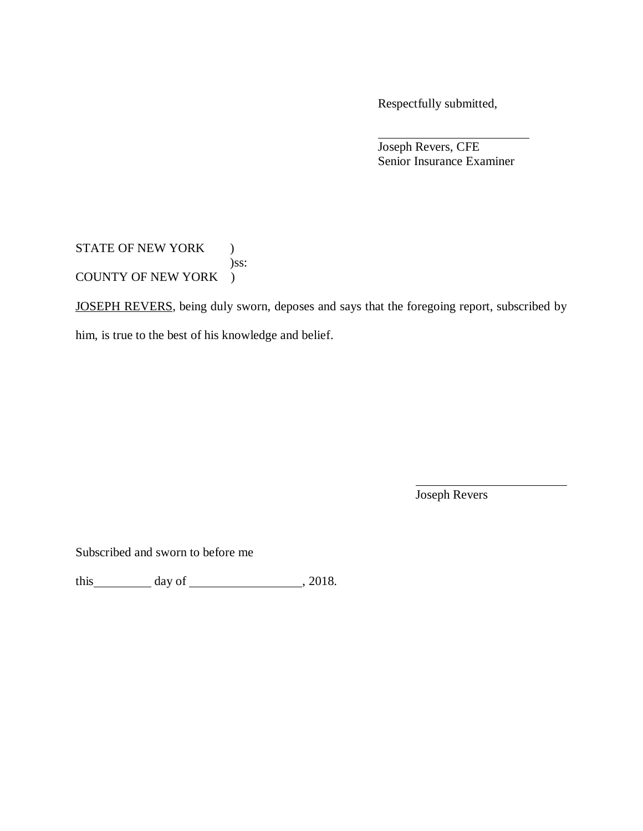Respectfully submitted,

Joseph Revers, CFE Senior Insurance Examiner

STATE OF NEW YORK ) )ss: COUNTY OF NEW YORK )

JOSEPH REVERS, being duly sworn, deposes and says that the foregoing report, subscribed by

him, is true to the best of his knowledge and belief.

Joseph Revers

Subscribed and sworn to before me

this day of , 2018.